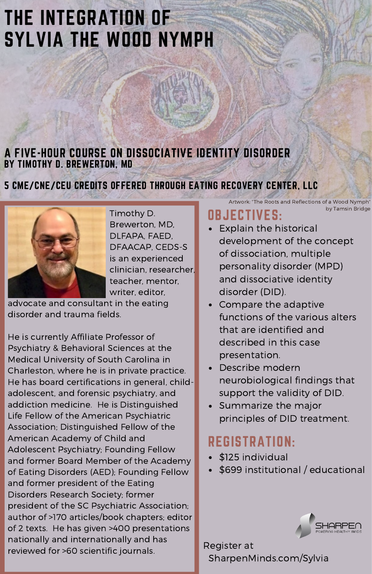# THE INTEGRATION OF SYLVIA THE WOOD NYMPH

#### A FIVE-HOUR COURSE ON DISSOCIATIVE IDENTITY DISORDER BY TIMOTHY D. BREWERTON, MD

#### 5 CME/CNE/CEU CREDITS OFFERED THROUGH EATING RECOVERY CENTER, LLC



Timothy D. Brewerton, MD, DLFAPA, FAED, DFAACAP, CEDS-S is an experienced clinician, researcher, teacher, mentor, writer, editor,

advocate and consultant in the eating disorder and trauma fields.

He is currently Affiliate Professor of Psychiatry & Behavioral Sciences at the Medical University of South Carolina in Charleston, where he is in private practice. He has board certifications in general, childadolescent, and forensic psychiatry, and addiction medicine. He is Distinguished Life Fellow of the American Psychiatric Association; Distinguished Fellow of the American Academy of Child and Adolescent Psychiatry; Founding Fellow and former Board Member of the Academy of Eating Disorders (AED); Founding Fellow and former president of the Eating Disorders Research Society; former president of the SC Psychiatric Association; author of >170 articles/book chapters; editor of 2 texts. He has given >400 presentations nationally and internationally and has reviewed for >60 scientific journals.

## OBJECTIVES:

Explain the historical development of the concept of dissociation, multiple personality disorder (MPD) and dissociative identity disorder (DID).

Artwork: "The Roots and Reflections of a Wood Nymph"

by Tamsin Bridge

- Compare the adaptive functions of the various alters that are identified and described in this case presentation.
- Describe modern neurobiological findings that support the validity of DID.
- Summarize the major principles of DID treatment.

### REGISTRATION:

- \$125 individual
- \$699 institutional / educational



Register at SharpenMinds.com/Sylvia